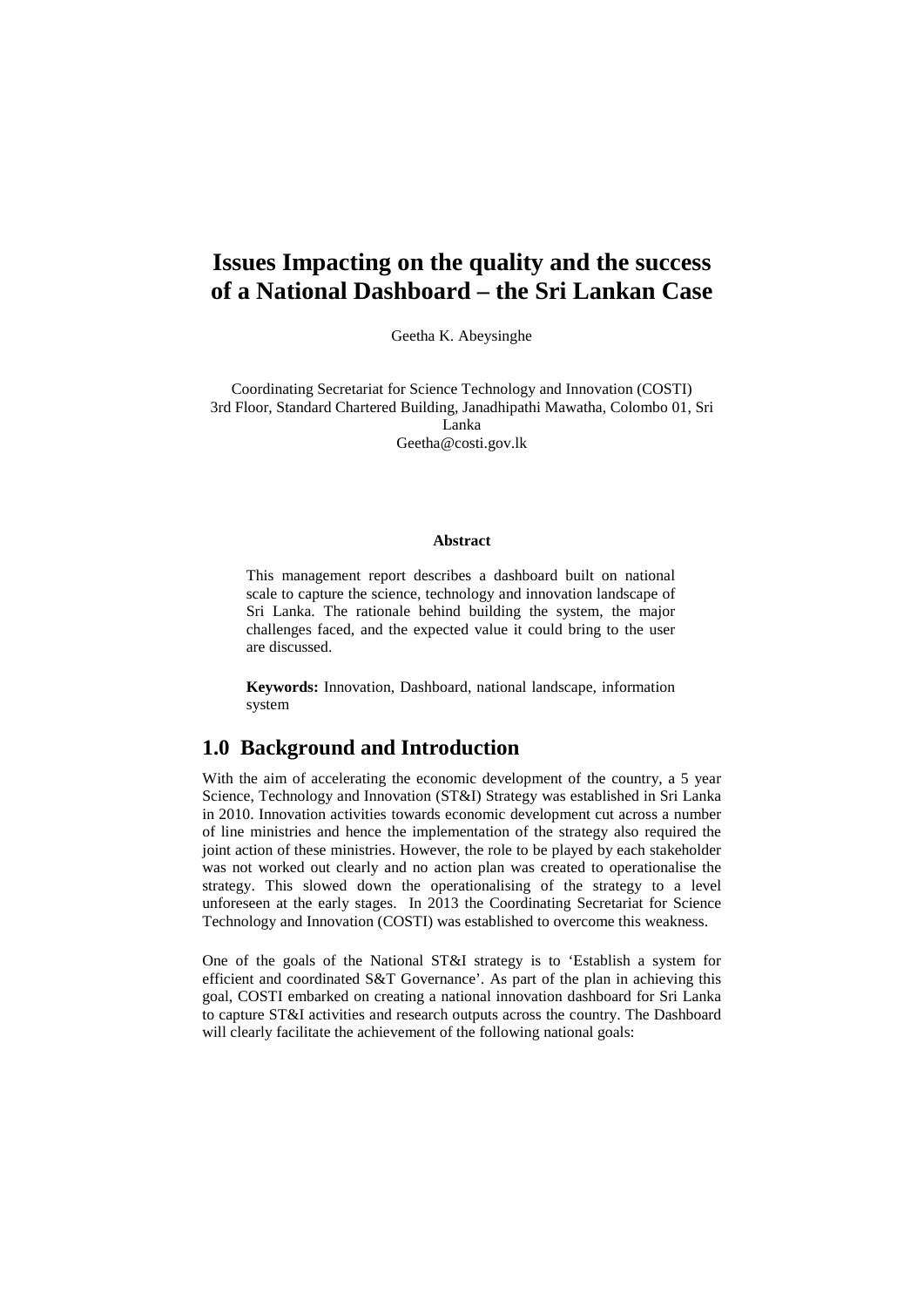# **Issues Impacting on the quality and the success of a National Dashboard – the Sri Lankan Case**

Geetha K. Abeysinghe

Coordinating Secretariat for Science Technology and Innovation (COSTI) 3rd Floor, Standard Chartered Building, Janadhipathi Mawatha, Colombo 01, Sri

Lanka

Geetha@costi.gov.lk

#### **Abstract**

This management report describes a dashboard built on national scale to capture the science, technology and innovation landscape of Sri Lanka. The rationale behind building the system, the major challenges faced, and the expected value it could bring to the user are discussed.

**Keywords:** Innovation, Dashboard, national landscape, information system

#### **1.0 Background and Introduction**

With the aim of accelerating the economic development of the country, a 5 year Science, Technology and Innovation (ST&I) Strategy was established in Sri Lanka in 2010. Innovation activities towards economic development cut across a number of line ministries and hence the implementation of the strategy also required the joint action of these ministries. However, the role to be played by each stakeholder was not worked out clearly and no action plan was created to operationalise the strategy. This slowed down the operationalising of the strategy to a level unforeseen at the early stages. In 2013 the Coordinating Secretariat for Science Technology and Innovation (COSTI) was established to overcome this weakness.

One of the goals of the National ST&I strategy is to 'Establish a system for efficient and coordinated S&T Governance'. As part of the plan in achieving this goal, COSTI embarked on creating a national innovation dashboard for Sri Lanka to capture ST&I activities and research outputs across the country. The Dashboard will clearly facilitate the achievement of the following national goals: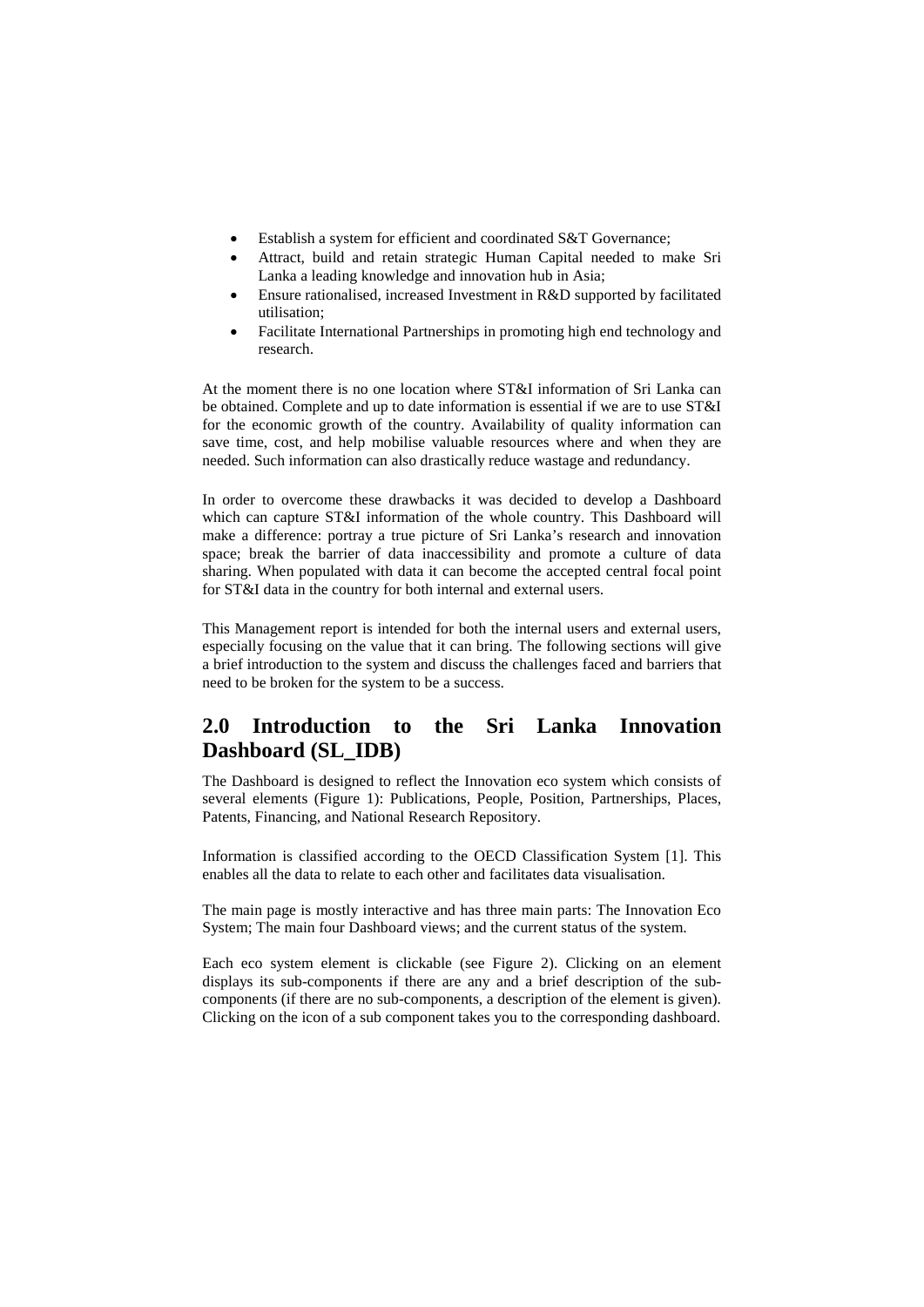- Establish a system for efficient and coordinated S&T Governance;
- Attract, build and retain strategic Human Capital needed to make Sri Lanka a leading knowledge and innovation hub in Asia;
- Ensure rationalised, increased Investment in R&D supported by facilitated utilisation;
- Facilitate International Partnerships in promoting high end technology and research.

At the moment there is no one location where ST&I information of Sri Lanka can be obtained. Complete and up to date information is essential if we are to use ST&I for the economic growth of the country. Availability of quality information can save time, cost, and help mobilise valuable resources where and when they are needed. Such information can also drastically reduce wastage and redundancy.

In order to overcome these drawbacks it was decided to develop a Dashboard which can capture ST&I information of the whole country. This Dashboard will make a difference: portray a true picture of Sri Lanka's research and innovation space; break the barrier of data inaccessibility and promote a culture of data sharing. When populated with data it can become the accepted central focal point for ST&I data in the country for both internal and external users.

This Management report is intended for both the internal users and external users, especially focusing on the value that it can bring. The following sections will give a brief introduction to the system and discuss the challenges faced and barriers that need to be broken for the system to be a success.

# **2.0 Introduction to the Sri Lanka Innovation Dashboard (SL\_IDB)**

The Dashboard is designed to reflect the Innovation eco system which consists of several elements (Figure 1): Publications, People, Position, Partnerships, Places, Patents, Financing, and National Research Repository.

Information is classified according to the OECD Classification System [1]. This enables all the data to relate to each other and facilitates data visualisation.

The main page is mostly interactive and has three main parts: The Innovation Eco System; The main four Dashboard views; and the current status of the system.

Each eco system element is clickable (see Figure 2). Clicking on an element displays its sub-components if there are any and a brief description of the subcomponents (if there are no sub-components, a description of the element is given). Clicking on the icon of a sub component takes you to the corresponding dashboard.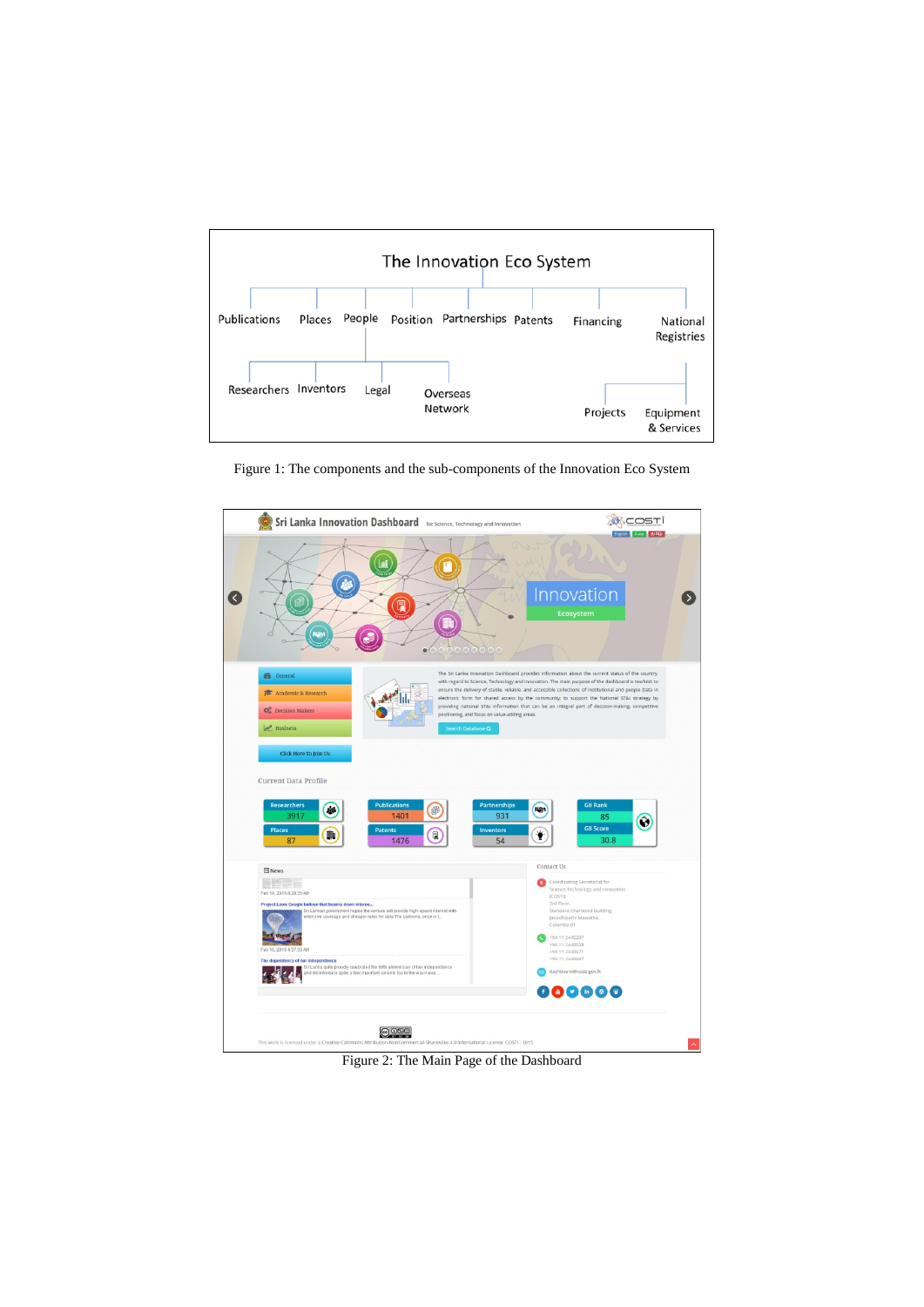

Figure 1: The components and the sub-components of the Innovation Eco System



Figure 2: The Main Page of the Dashboard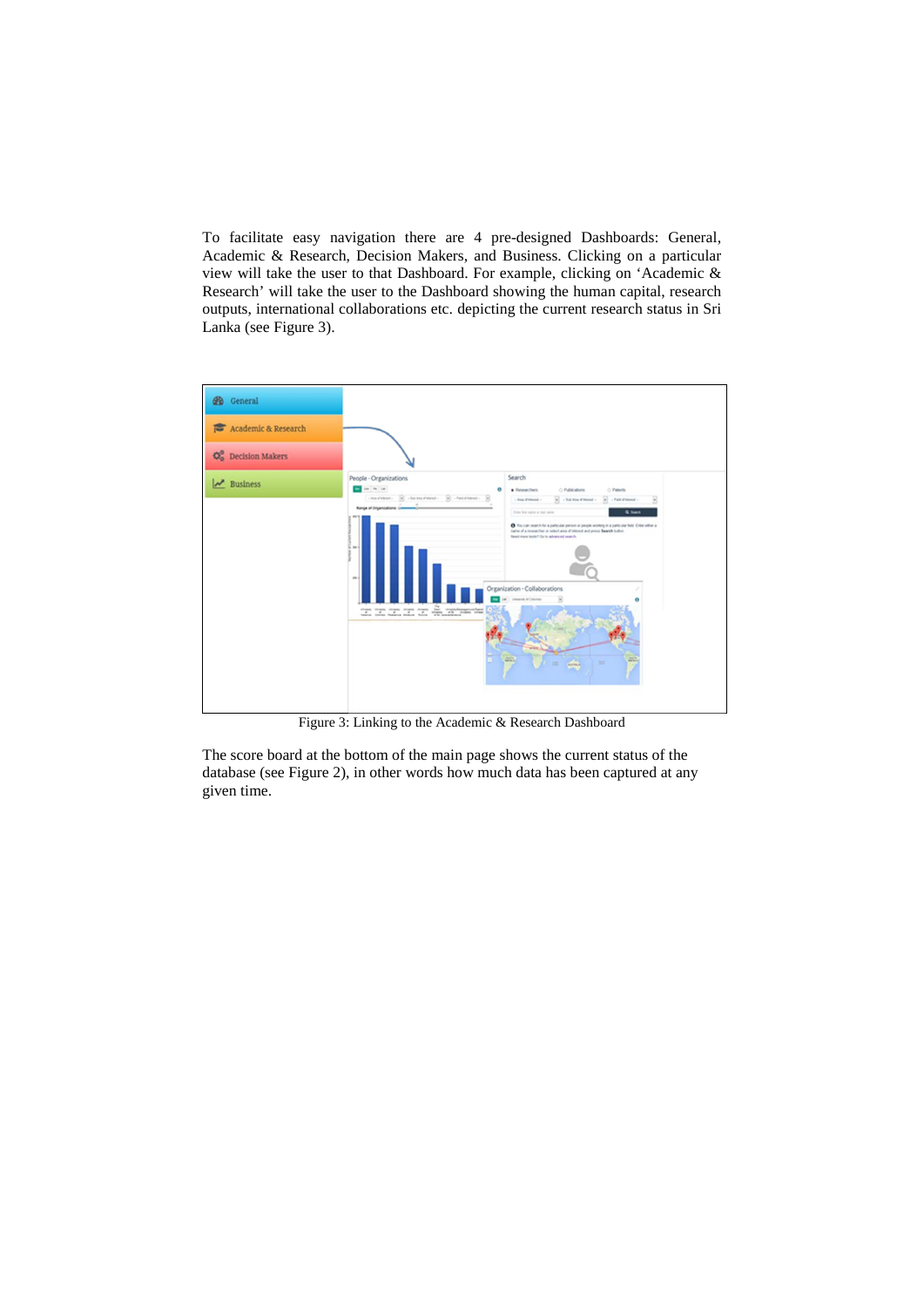To facilitate easy navigation there are 4 pre-designed Dashboards: General, Academic & Research, Decision Makers, and Business. Clicking on a particular view will take the user to that Dashboard. For example, clicking on 'Academic & Research' will take the user to the Dashboard showing the human capital, research outputs, international collaborations etc. depicting the current research status in Sri Lanka (see Figure 3).



Figure 3: Linking to the Academic & Research Dashboard

The score board at the bottom of the main page shows the current status of the database (see Figure 2), in other words how much data has been captured at any given time.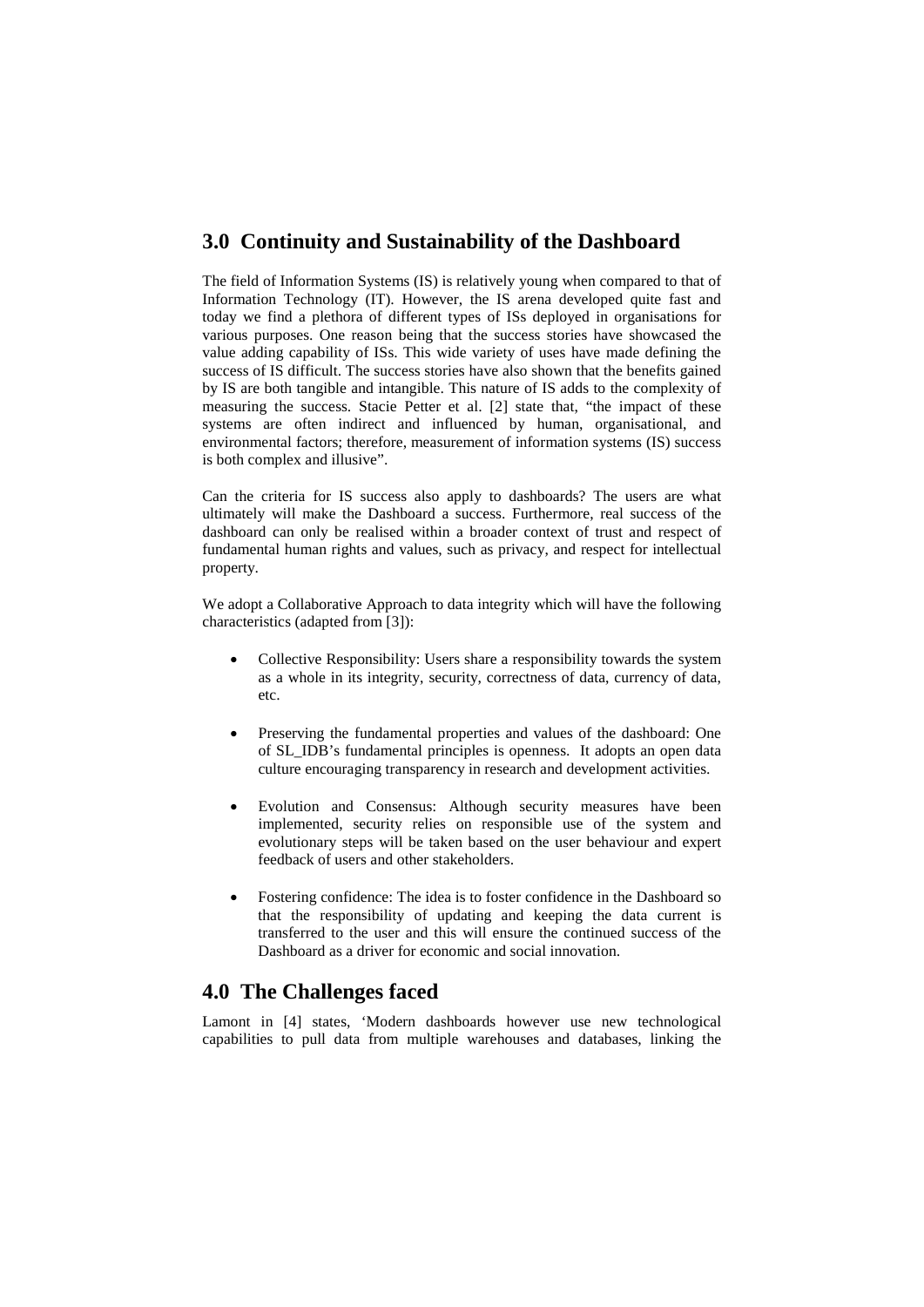## **3.0 Continuity and Sustainability of the Dashboard**

The field of Information Systems (IS) is relatively young when compared to that of Information Technology (IT). However, the IS arena developed quite fast and today we find a plethora of different types of ISs deployed in organisations for various purposes. One reason being that the success stories have showcased the value adding capability of ISs. This wide variety of uses have made defining the success of IS difficult. The success stories have also shown that the benefits gained by IS are both tangible and intangible. This nature of IS adds to the complexity of measuring the success. Stacie Petter et al. [2] state that, "the impact of these systems are often indirect and influenced by human, organisational, and environmental factors; therefore, measurement of information systems (IS) success is both complex and illusive".

Can the criteria for IS success also apply to dashboards? The users are what ultimately will make the Dashboard a success. Furthermore, real success of the dashboard can only be realised within a broader context of trust and respect of fundamental human rights and values, such as privacy, and respect for intellectual property.

We adopt a Collaborative Approach to data integrity which will have the following characteristics (adapted from [3]):

- Collective Responsibility: Users share a responsibility towards the system as a whole in its integrity, security, correctness of data, currency of data, etc.
- Preserving the fundamental properties and values of the dashboard: One of SL\_IDB's fundamental principles is openness. It adopts an open data culture encouraging transparency in research and development activities.
- Evolution and Consensus: Although security measures have been implemented, security relies on responsible use of the system and evolutionary steps will be taken based on the user behaviour and expert feedback of users and other stakeholders.
- Fostering confidence: The idea is to foster confidence in the Dashboard so that the responsibility of updating and keeping the data current is transferred to the user and this will ensure the continued success of the Dashboard as a driver for economic and social innovation.

# **4.0 The Challenges faced**

Lamont in [4] states, 'Modern dashboards however use new technological capabilities to pull data from multiple warehouses and databases, linking the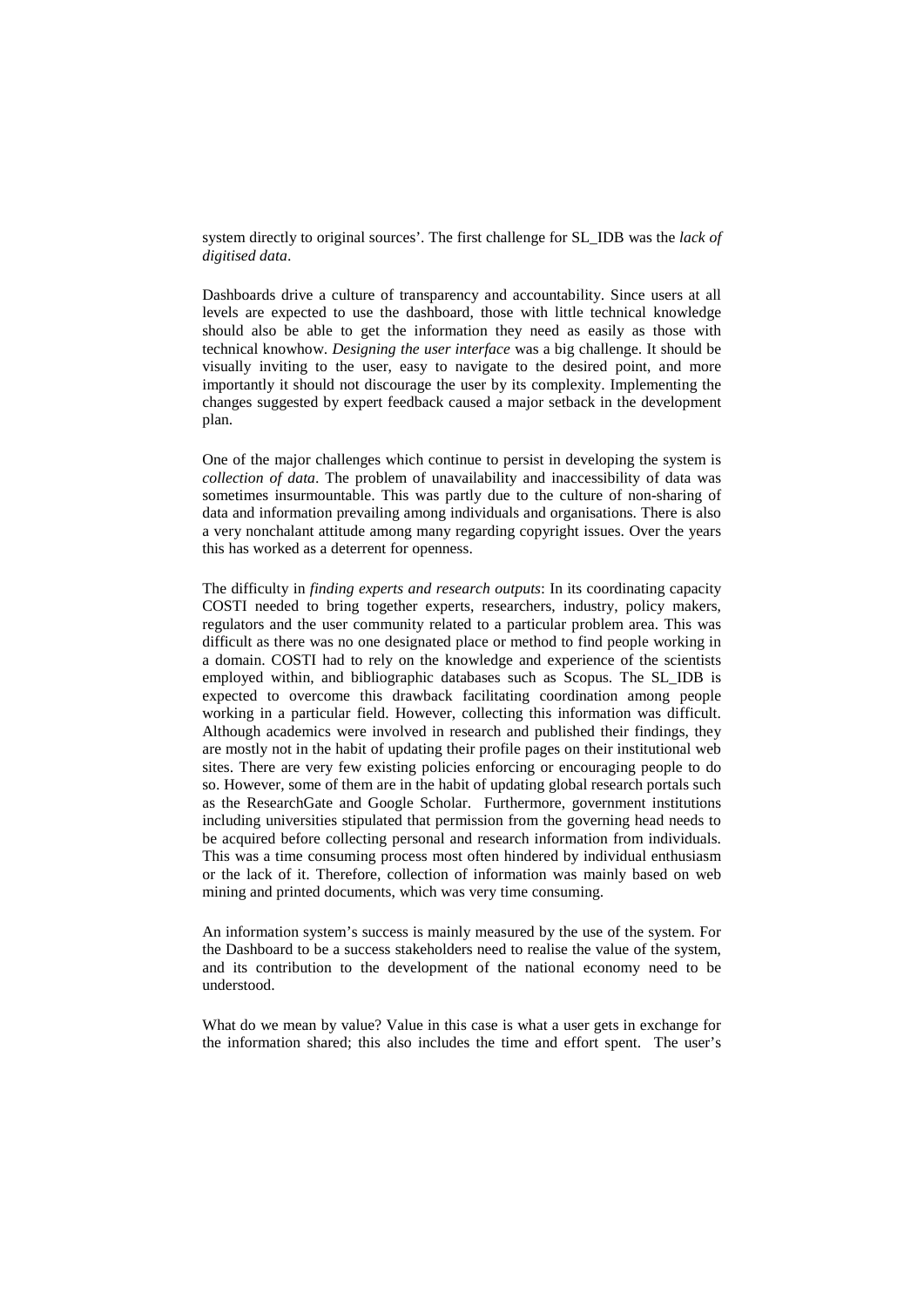system directly to original sources'. The first challenge for SL\_IDB was the *lack of digitised data*.

Dashboards drive a culture of transparency and accountability. Since users at all levels are expected to use the dashboard, those with little technical knowledge should also be able to get the information they need as easily as those with technical knowhow. *Designing the user interface* was a big challenge. It should be visually inviting to the user, easy to navigate to the desired point, and more importantly it should not discourage the user by its complexity. Implementing the changes suggested by expert feedback caused a major setback in the development plan.

One of the major challenges which continue to persist in developing the system is *collection of data*. The problem of unavailability and inaccessibility of data was sometimes insurmountable. This was partly due to the culture of non-sharing of data and information prevailing among individuals and organisations. There is also a very nonchalant attitude among many regarding copyright issues. Over the years this has worked as a deterrent for openness.

The difficulty in *finding experts and research outputs*: In its coordinating capacity COSTI needed to bring together experts, researchers, industry, policy makers, regulators and the user community related to a particular problem area. This was difficult as there was no one designated place or method to find people working in a domain. COSTI had to rely on the knowledge and experience of the scientists employed within, and bibliographic databases such as Scopus. The SL\_IDB is expected to overcome this drawback facilitating coordination among people working in a particular field. However, collecting this information was difficult. Although academics were involved in research and published their findings, they are mostly not in the habit of updating their profile pages on their institutional web sites. There are very few existing policies enforcing or encouraging people to do so. However, some of them are in the habit of updating global research portals such as the ResearchGate and Google Scholar. Furthermore, government institutions including universities stipulated that permission from the governing head needs to be acquired before collecting personal and research information from individuals. This was a time consuming process most often hindered by individual enthusiasm or the lack of it. Therefore, collection of information was mainly based on web mining and printed documents, which was very time consuming.

An information system's success is mainly measured by the use of the system. For the Dashboard to be a success stakeholders need to realise the value of the system, and its contribution to the development of the national economy need to be understood.

What do we mean by value? Value in this case is what a user gets in exchange for the information shared; this also includes the time and effort spent. The user's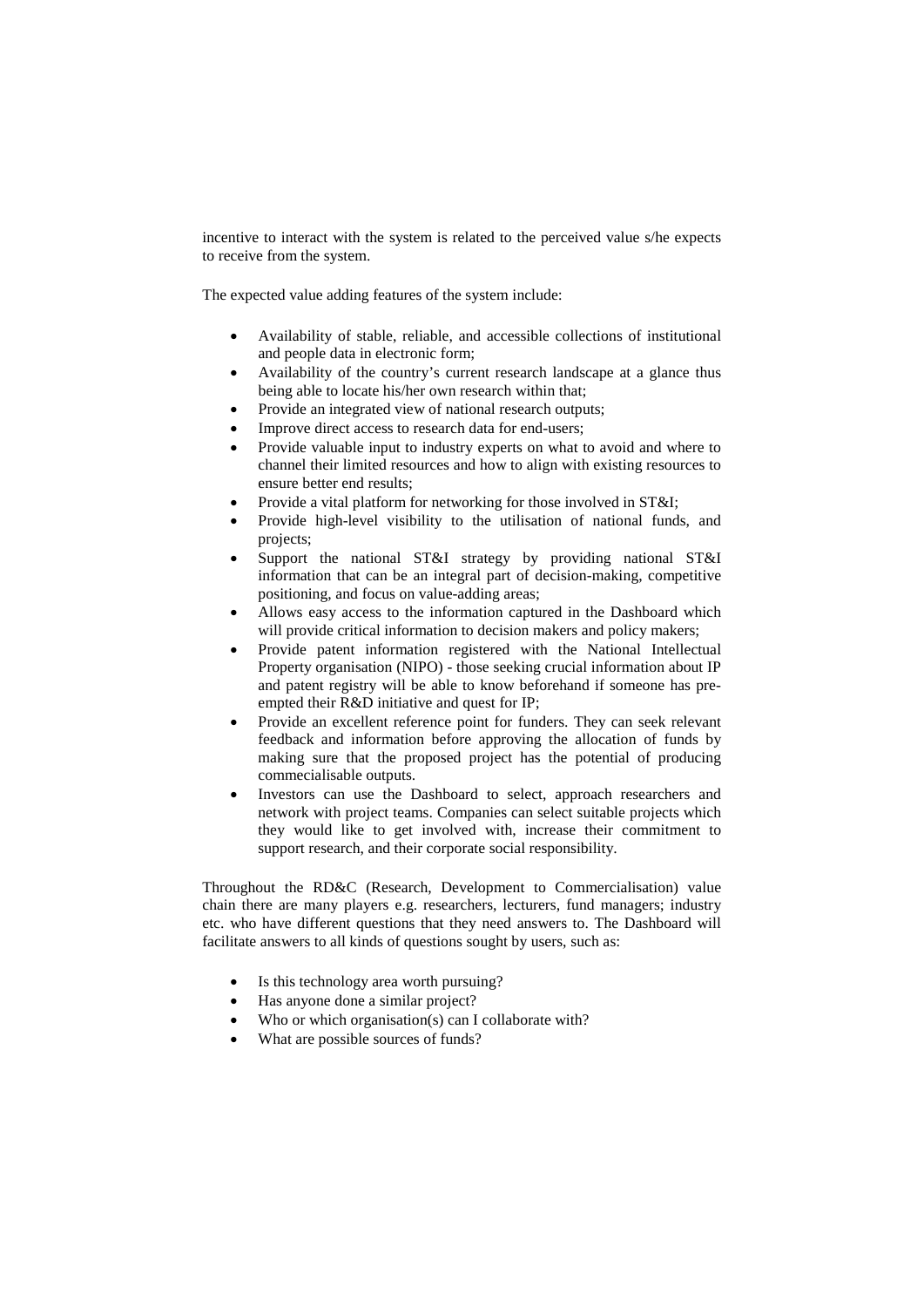incentive to interact with the system is related to the perceived value s/he expects to receive from the system.

The expected value adding features of the system include:

- Availability of stable, reliable, and accessible collections of institutional and people data in electronic form;
- Availability of the country's current research landscape at a glance thus being able to locate his/her own research within that;
- Provide an integrated view of national research outputs;
- Improve direct access to research data for end-users:
- Provide valuable input to industry experts on what to avoid and where to channel their limited resources and how to align with existing resources to ensure better end results;
- Provide a vital platform for networking for those involved in ST&I;
- Provide high-level visibility to the utilisation of national funds, and projects;
- Support the national ST&I strategy by providing national ST&I information that can be an integral part of decision-making, competitive positioning, and focus on value-adding areas;
- Allows easy access to the information captured in the Dashboard which will provide critical information to decision makers and policy makers;
- Provide patent information registered with the National Intellectual Property organisation (NIPO) - those seeking crucial information about IP and patent registry will be able to know beforehand if someone has preempted their R&D initiative and quest for IP;
- Provide an excellent reference point for funders. They can seek relevant feedback and information before approving the allocation of funds by making sure that the proposed project has the potential of producing commecialisable outputs.
- Investors can use the Dashboard to select, approach researchers and network with project teams. Companies can select suitable projects which they would like to get involved with, increase their commitment to support research, and their corporate social responsibility.

Throughout the RD&C (Research, Development to Commercialisation) value chain there are many players e.g. researchers, lecturers, fund managers; industry etc. who have different questions that they need answers to. The Dashboard will facilitate answers to all kinds of questions sought by users, such as:

- Is this technology area worth pursuing?
- Has anyone done a similar project?
- Who or which organisation(s) can I collaborate with?
- What are possible sources of funds?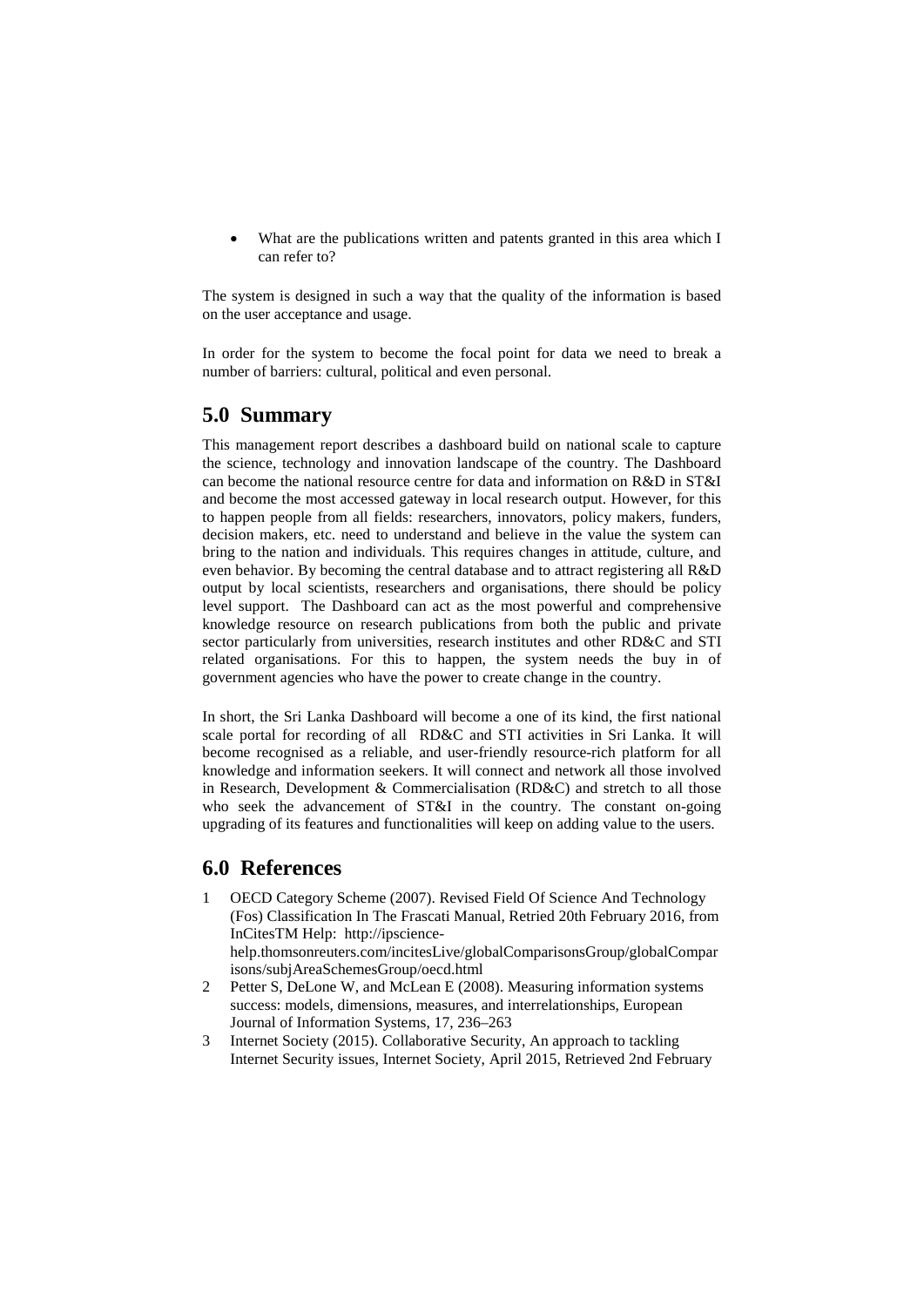What are the publications written and patents granted in this area which I can refer to?

The system is designed in such a way that the quality of the information is based on the user acceptance and usage.

In order for the system to become the focal point for data we need to break a number of barriers: cultural, political and even personal.

### **5.0 Summary**

This management report describes a dashboard build on national scale to capture the science, technology and innovation landscape of the country. The Dashboard can become the national resource centre for data and information on R&D in ST&I and become the most accessed gateway in local research output. However, for this to happen people from all fields: researchers, innovators, policy makers, funders, decision makers, etc. need to understand and believe in the value the system can bring to the nation and individuals. This requires changes in attitude, culture, and even behavior. By becoming the central database and to attract registering all R&D output by local scientists, researchers and organisations, there should be policy level support. The Dashboard can act as the most powerful and comprehensive knowledge resource on research publications from both the public and private sector particularly from universities, research institutes and other RD&C and STI related organisations. For this to happen, the system needs the buy in of government agencies who have the power to create change in the country.

In short, the Sri Lanka Dashboard will become a one of its kind, the first national scale portal for recording of all RD&C and STI activities in Sri Lanka. It will become recognised as a reliable, and user-friendly resource-rich platform for all knowledge and information seekers. It will connect and network all those involved in Research, Development & Commercialisation (RD&C) and stretch to all those who seek the advancement of ST&I in the country. The constant on-going upgrading of its features and functionalities will keep on adding value to the users.

#### **6.0 References**

- 1 OECD Category Scheme (2007). Revised Field Of Science And Technology (Fos) Classification In The Frascati Manual, Retried 20th February 2016, from InCitesTM Help: http://ipsciencehelp.thomsonreuters.com/incitesLive/globalComparisonsGroup/globalCompar isons/subjAreaSchemesGroup/oecd.html
- 2 Petter S, DeLone W, and McLean E (2008). Measuring information systems success: models, dimensions, measures, and interrelationships, European Journal of Information Systems, 17, 236–263
- 3 Internet Society (2015). Collaborative Security, An approach to tackling Internet Security issues, Internet Society, April 2015, Retrieved 2nd February